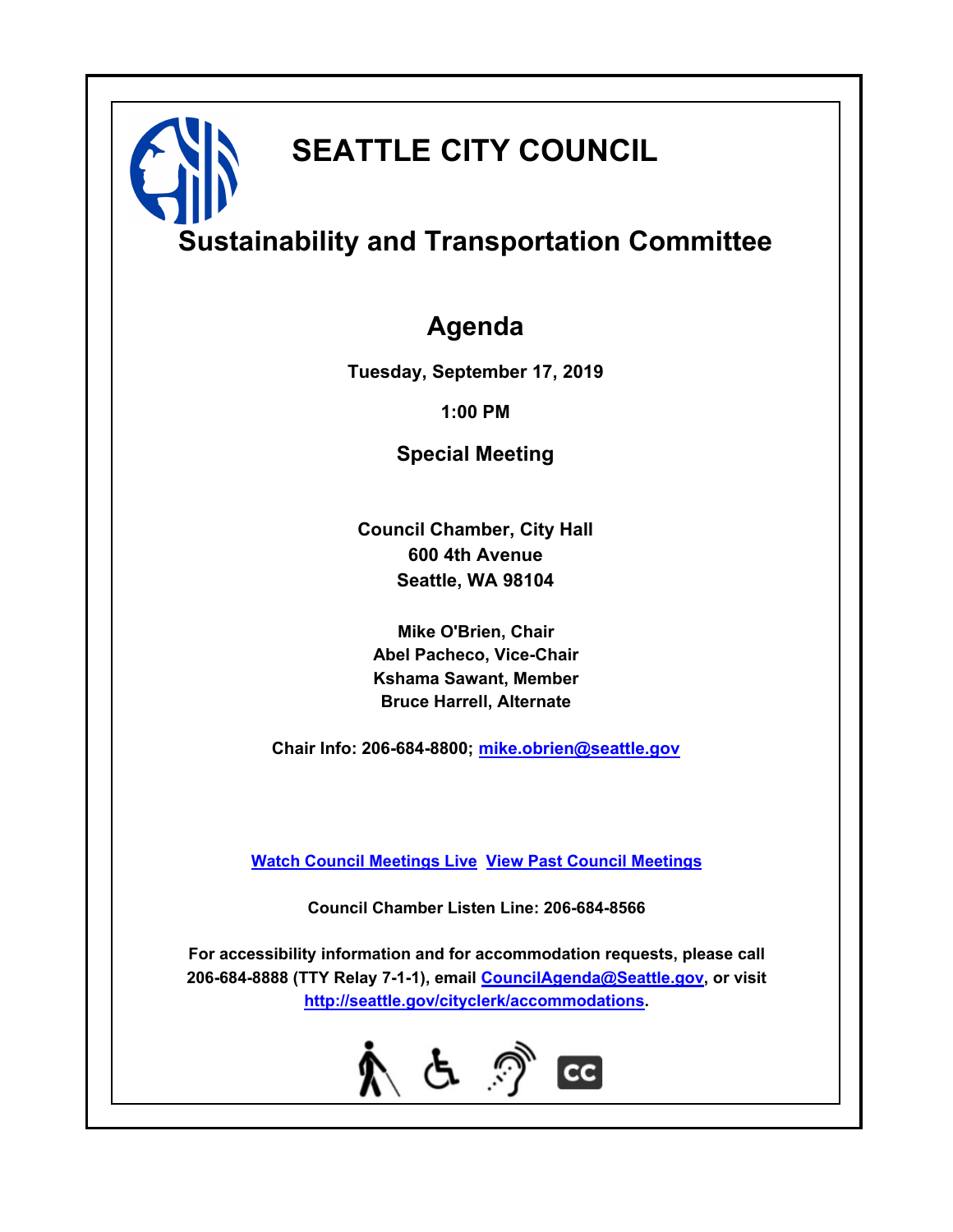# **SEATTLE CITY COUNCIL**

## **Sustainability and Transportation Committee**

## **Agenda**

**Tuesday, September 17, 2019**

**1:00 PM**

**Special Meeting**

**Council Chamber, City Hall 600 4th Avenue Seattle, WA 98104**

**Mike O'Brien, Chair Abel Pacheco, Vice-Chair Kshama Sawant, Member Bruce Harrell, Alternate**

**Chair Info: 206-684-8800; [mike.obrien@seattle.gov](mailto:mike.obrien@seattle.gov)**

**[Watch Council Meetings Live](http://www.seattle.gov/council/councillive.htm) [View Past Council Meetings](http://www.seattlechannel.org/videos/browseVideos.asp?topic=council)**

**Council Chamber Listen Line: 206-684-8566**

**For accessibility information and for accommodation requests, please call 206-684-8888 (TTY Relay 7-1-1), email [CouncilAgenda@Seattle.gov](mailto:CouncilAgenda@Seattle.gov), or visit <http://seattle.gov/cityclerk/accommodations>.**

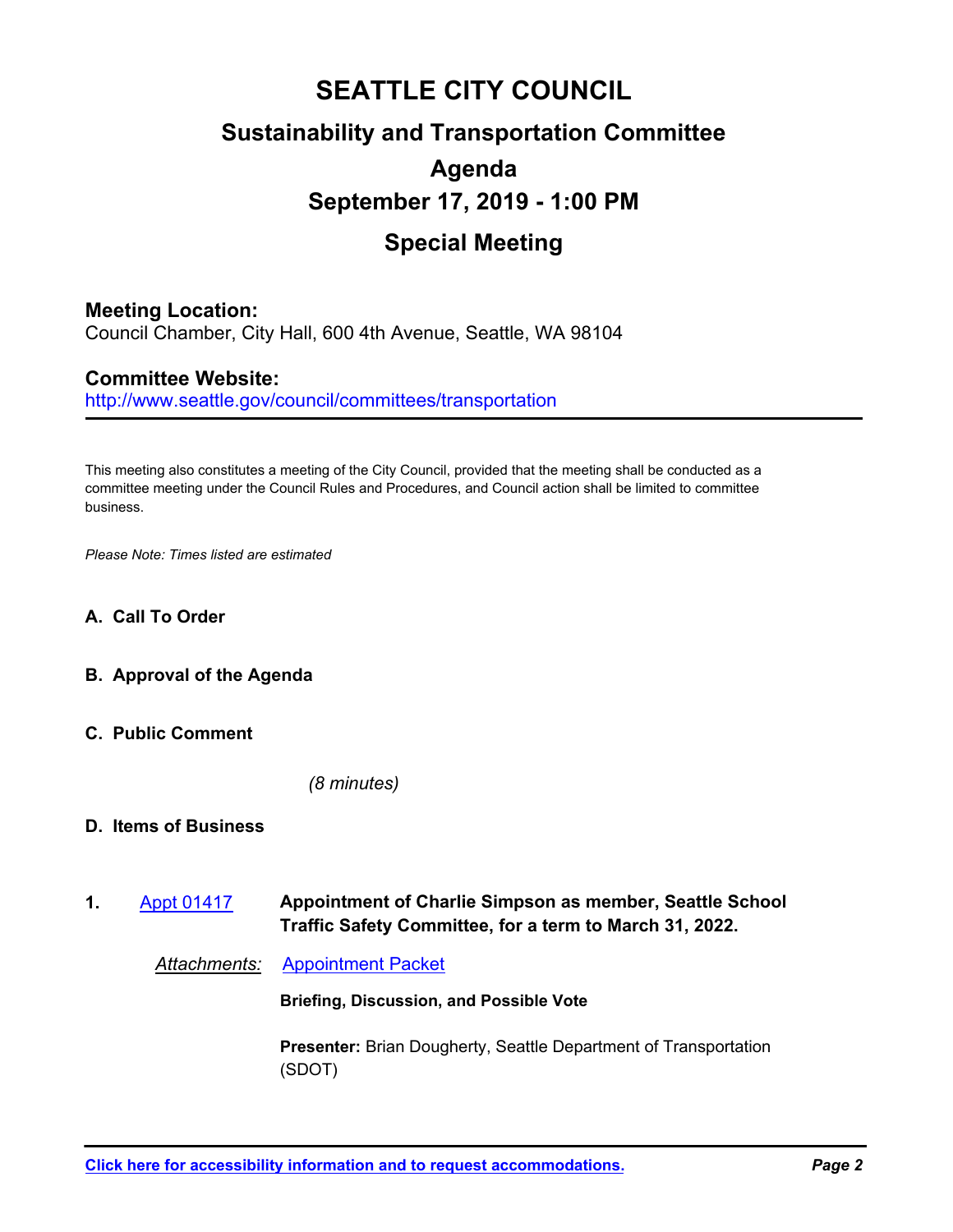## **SEATTLE CITY COUNCIL Sustainability and Transportation Committee Agenda September 17, 2019 - 1:00 PM Special Meeting**

## **Meeting Location:**

Council Chamber, City Hall, 600 4th Avenue, Seattle, WA 98104

### **Committee Website:**

http://www.seattle.gov/council/committees/transportation

This meeting also constitutes a meeting of the City Council, provided that the meeting shall be conducted as a committee meeting under the Council Rules and Procedures, and Council action shall be limited to committee business.

*Please Note: Times listed are estimated*

- **A. Call To Order**
- **B. Approval of the Agenda**
- **C. Public Comment**

*(8 minutes)*

#### **D. Items of Business**

**Appointment of Charlie Simpson as member, Seattle School Traffic Safety Committee, for a term to March 31, 2022. 1.** [Appt 01417](http://seattle.legistar.com/gateway.aspx?m=l&id=/matter.aspx?key=9033)

*Attachments:* [Appointment Packet](http://seattle.legistar.com/gateway.aspx?M=F&ID=2acb5e89-68a9-49ac-86b3-ab6dadf0b845.pdf)

**Briefing, Discussion, and Possible Vote**

**Presenter:** Brian Dougherty, Seattle Department of Transportation (SDOT)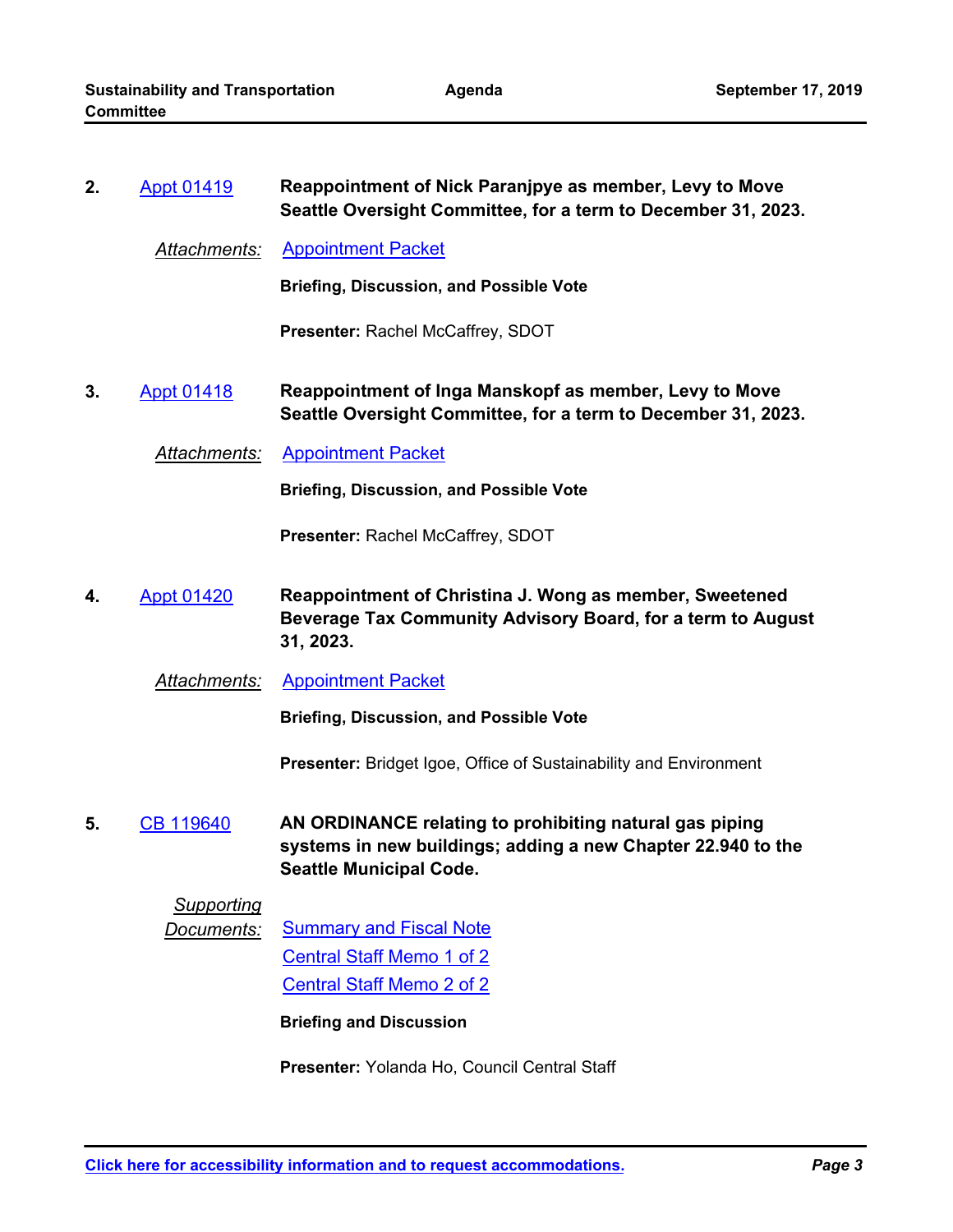| 2. | <b>Appt 01419</b> | Reappointment of Nick Paranjpye as member, Levy to Move<br>Seattle Oversight Committee, for a term to December 31, 2023.                                  |
|----|-------------------|-----------------------------------------------------------------------------------------------------------------------------------------------------------|
|    | Attachments:      | <b>Appointment Packet</b>                                                                                                                                 |
|    |                   | <b>Briefing, Discussion, and Possible Vote</b>                                                                                                            |
|    |                   | Presenter: Rachel McCaffrey, SDOT                                                                                                                         |
| 3. | <b>Appt 01418</b> | Reappointment of Inga Manskopf as member, Levy to Move<br>Seattle Oversight Committee, for a term to December 31, 2023.                                   |
|    | Attachments:      | <b>Appointment Packet</b>                                                                                                                                 |
|    |                   | <b>Briefing, Discussion, and Possible Vote</b>                                                                                                            |
|    |                   | Presenter: Rachel McCaffrey, SDOT                                                                                                                         |
| 4. | <b>Appt 01420</b> | Reappointment of Christina J. Wong as member, Sweetened<br>Beverage Tax Community Advisory Board, for a term to August<br>31, 2023.                       |
|    | Attachments:      | <b>Appointment Packet</b>                                                                                                                                 |
|    |                   | <b>Briefing, Discussion, and Possible Vote</b>                                                                                                            |
|    |                   | <b>Presenter:</b> Bridget Igoe, Office of Sustainability and Environment                                                                                  |
| 5. | <b>CB 119640</b>  | AN ORDINANCE relating to prohibiting natural gas piping<br>systems in new buildings; adding a new Chapter 22.940 to the<br><b>Seattle Municipal Code.</b> |
|    | <b>Supporting</b> |                                                                                                                                                           |
|    | Documents:        | <b>Summary and Fiscal Note</b><br><b>Central Staff Memo 1 of 2</b>                                                                                        |
|    |                   | <b>Central Staff Memo 2 of 2</b>                                                                                                                          |
|    |                   | <b>Briefing and Discussion</b>                                                                                                                            |
|    |                   |                                                                                                                                                           |
|    |                   | Presenter: Yolanda Ho, Council Central Staff                                                                                                              |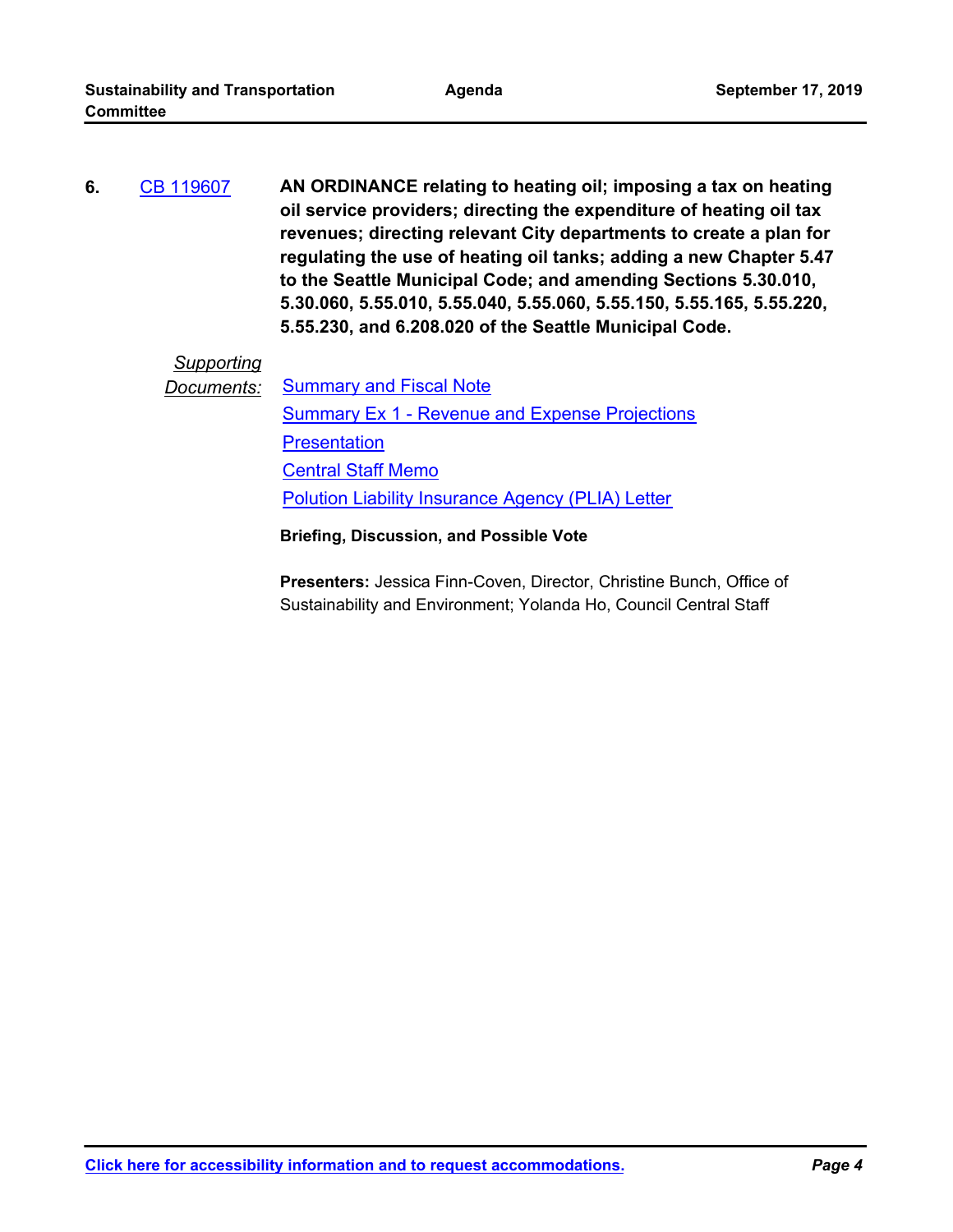**AN ORDINANCE relating to heating oil; imposing a tax on heating oil service providers; directing the expenditure of heating oil tax revenues; directing relevant City departments to create a plan for regulating the use of heating oil tanks; adding a new Chapter 5.47 to the Seattle Municipal Code; and amending Sections 5.30.010, 5.30.060, 5.55.010, 5.55.040, 5.55.060, 5.55.150, 5.55.165, 5.55.220, 5.55.230, and 6.208.020 of the Seattle Municipal Code. 6.** [CB 119607](http://seattle.legistar.com/gateway.aspx?m=l&id=/matter.aspx?key=8863)

## *Supporting*

*Documents:* [Summary and Fiscal Note](http://seattle.legistar.com/gateway.aspx?M=F&ID=f0b4393d-017e-4763-ab37-bfb042c5c52f.docx) [Summary Ex 1 - Revenue and Expense Projections](http://seattle.legistar.com/gateway.aspx?M=F&ID=79f84738-028c-4dfe-bc8a-d3d1ce6af739.docx) **[Presentation](http://seattle.legistar.com/gateway.aspx?M=F&ID=d14c73fb-00e8-497d-bb08-204baab69656.pdf)** [Central Staff Memo](http://seattle.legistar.com/gateway.aspx?M=F&ID=6ee65776-3a51-4406-9e05-926687456b9e.pdf) [Polution Liability Insurance Agency \(PLIA\) Letter](http://seattle.legistar.com/gateway.aspx?M=F&ID=72aaf53f-dd0a-4b1a-9adb-87078858e6da.pdf)

#### **Briefing, Discussion, and Possible Vote**

**Presenters:** Jessica Finn-Coven, Director, Christine Bunch, Office of Sustainability and Environment; Yolanda Ho, Council Central Staff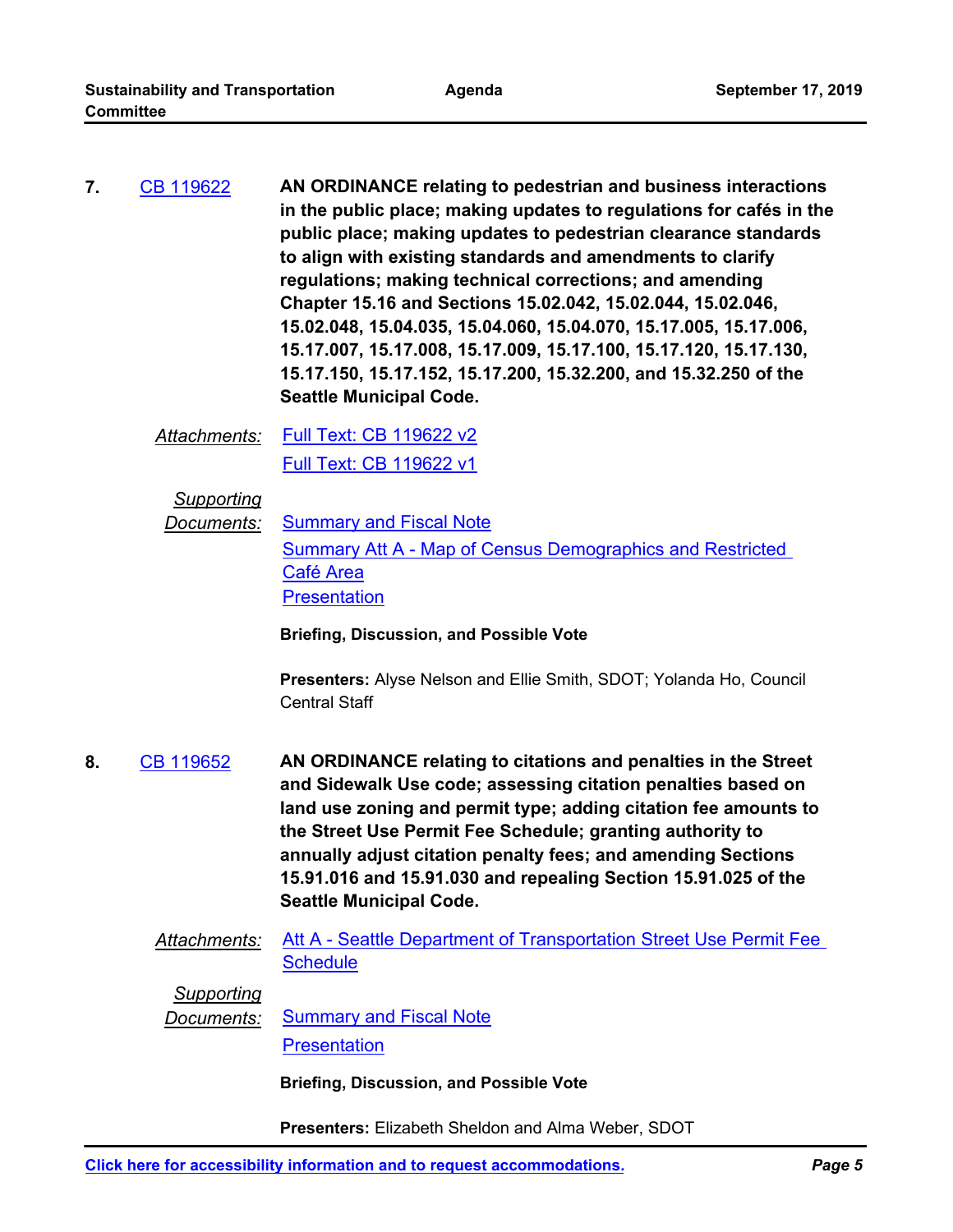**AN ORDINANCE relating to pedestrian and business interactions in the public place; making updates to regulations for cafés in the public place; making updates to pedestrian clearance standards to align with existing standards and amendments to clarify regulations; making technical corrections; and amending Chapter 15.16 and Sections 15.02.042, 15.02.044, 15.02.046, 15.02.048, 15.04.035, 15.04.060, 15.04.070, 15.17.005, 15.17.006, 15.17.007, 15.17.008, 15.17.009, 15.17.100, 15.17.120, 15.17.130, 15.17.150, 15.17.152, 15.17.200, 15.32.200, and 15.32.250 of the Seattle Municipal Code. 7.** [CB 119622](http://seattle.legistar.com/gateway.aspx?m=l&id=/matter.aspx?key=9037)

*Attachments:* [Full Text: CB 119622 v2](http://seattle.legistar.com/gateway.aspx?M=F&ID=8567642f-a5da-47bf-aafe-100936be17a3.docx) [Full Text: CB 119622 v1](http://seattle.legistar.com/gateway.aspx?M=F&ID=1616cad4-805d-4e94-848e-802ce12cca0e.docx)

*Supporting*

**Documents:** [Summary and Fiscal Note](http://seattle.legistar.com/gateway.aspx?M=F&ID=7ab1e891-be7f-48a2-89ca-650db7efcf5b.docx) [Summary Att A - Map of Census Demographics and Restricted](http://seattle.legistar.com/gateway.aspx?M=F&ID=bec1e302-6520-4752-a7ae-e8990f99d8a3.jpg)  Café Area **[Presentation](http://seattle.legistar.com/gateway.aspx?M=F&ID=7e2df659-78a6-4a68-9b66-c82af9f2157d.pdf)** 

**Briefing, Discussion, and Possible Vote**

**Presenters:** Alyse Nelson and Ellie Smith, SDOT; Yolanda Ho, Council Central Staff

- **AN ORDINANCE relating to citations and penalties in the Street and Sidewalk Use code; assessing citation penalties based on land use zoning and permit type; adding citation fee amounts to the Street Use Permit Fee Schedule; granting authority to annually adjust citation penalty fees; and amending Sections 15.91.016 and 15.91.030 and repealing Section 15.91.025 of the Seattle Municipal Code. 8.** [CB 119652](http://seattle.legistar.com/gateway.aspx?m=l&id=/matter.aspx?key=9055)
	- *Attachments:* [Att A Seattle Department of Transportation Street Use Permit Fee](http://seattle.legistar.com/gateway.aspx?M=F&ID=1f3cfbbb-1088-4d57-83b6-dce998478408.docx)  **Schedule**

*Supporting*

**Documents:** [Summary and Fiscal Note](http://seattle.legistar.com/gateway.aspx?M=F&ID=4e6c1e25-60f4-4e8b-a4aa-f1ef99622340.docx) **[Presentation](http://seattle.legistar.com/gateway.aspx?M=F&ID=83f09933-90ba-4d4a-b77e-4e7ba53a3ad1.pptx)** 

**Briefing, Discussion, and Possible Vote**

**Presenters:** Elizabeth Sheldon and Alma Weber, SDOT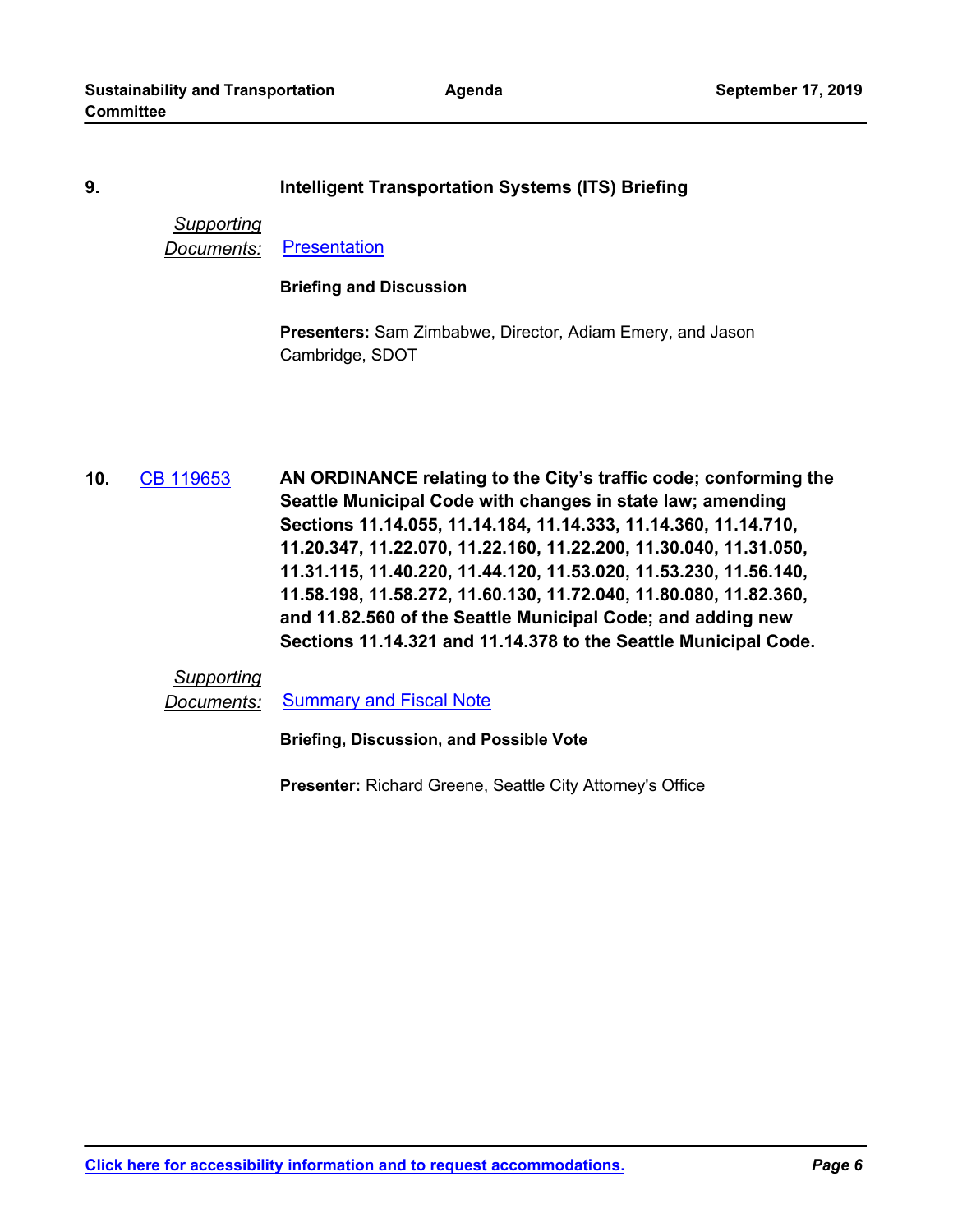**Agenda**

#### **9. Intelligent Transportation Systems (ITS) Briefing**

#### *Supporting* **Documents:** [Presentation](http://seattle.legistar.com/gateway.aspx?M=F&ID=62569b7c-19d2-4a72-9148-2437fb6be79d.pptx)

#### **Briefing and Discussion**

**Presenters:** Sam Zimbabwe, Director, Adiam Emery, and Jason Cambridge, SDOT

**AN ORDINANCE relating to the City's traffic code; conforming the Seattle Municipal Code with changes in state law; amending Sections 11.14.055, 11.14.184, 11.14.333, 11.14.360, 11.14.710, 11.20.347, 11.22.070, 11.22.160, 11.22.200, 11.30.040, 11.31.050, 11.31.115, 11.40.220, 11.44.120, 11.53.020, 11.53.230, 11.56.140, 11.58.198, 11.58.272, 11.60.130, 11.72.040, 11.80.080, 11.82.360, and 11.82.560 of the Seattle Municipal Code; and adding new Sections 11.14.321 and 11.14.378 to the Seattle Municipal Code. 10.** [CB 119653](http://seattle.legistar.com/gateway.aspx?m=l&id=/matter.aspx?key=9138)

*Supporting*

*Documents:* [Summary and Fiscal Note](http://seattle.legistar.com/gateway.aspx?M=F&ID=b8bb67d3-f870-439b-8df7-3b5f817f66b1.docx)

**Briefing, Discussion, and Possible Vote**

**Presenter:** Richard Greene, Seattle City Attorney's Office